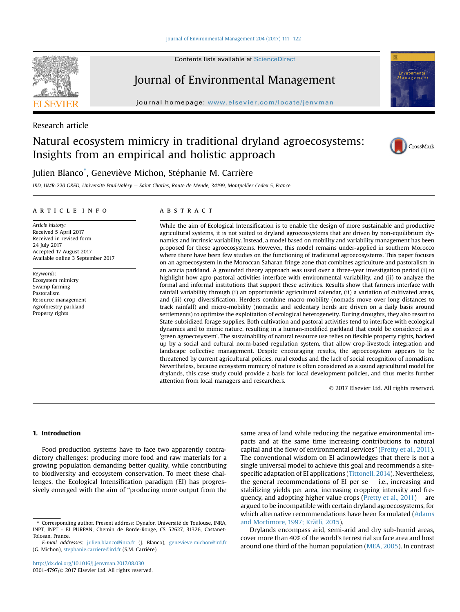#### [Journal of Environmental Management 204 \(2017\) 111](http://dx.doi.org/10.1016/j.jenvman.2017.08.030)-[122](http://dx.doi.org/10.1016/j.jenvman.2017.08.030)

Contents lists available at ScienceDirect

## Journal of Environmental Management

journal homepage: [www.elsevier.com/locate/jenvman](http://www.elsevier.com/locate/jenvman)



# Natural ecosystem mimicry in traditional dryland agroecosystems: Insights from an empirical and holistic approach



### Julien Blanco<sup>\*</sup>, Geneviève Michon, Stéphanie M. Carrière

IRD, UMR-220 GRED, Université Paul-Valéry - Saint Charles, Route de Mende, 34199, Montpellier Cedex 5, France

#### article info

Article history: Received 5 April 2017 Received in revised form 24 July 2017 Accepted 17 August 2017 Available online 3 September 2017

Keywords: Ecosystem mimicry Swamp farming Pastoralism Resource management Agroforestry parkland Property rights

#### **ABSTRACT**

While the aim of Ecological Intensification is to enable the design of more sustainable and productive agricultural systems, it is not suited to dryland agroecosystems that are driven by non-equilibrium dynamics and intrinsic variability. Instead, a model based on mobility and variability management has been proposed for these agroecosystems. However, this model remains under-applied in southern Morocco where there have been few studies on the functioning of traditional agroecosystems. This paper focuses on an agroecosystem in the Moroccan Saharan fringe zone that combines agriculture and pastoralism in an acacia parkland. A grounded theory approach was used over a three-year investigation period (i) to highlight how agro-pastoral activities interface with environmental variability, and (ii) to analyze the formal and informal institutions that support these activities. Results show that farmers interface with rainfall variability through (i) an opportunistic agricultural calendar, (ii) a variation of cultivated areas, and (iii) crop diversification. Herders combine macro-mobility (nomads move over long distances to track rainfall) and micro-mobility (nomadic and sedentary herds are driven on a daily basis around settlements) to optimize the exploitation of ecological heterogeneity. During droughts, they also resort to State-subsidized forage supplies. Both cultivation and pastoral activities tend to interface with ecological dynamics and to mimic nature, resulting in a human-modified parkland that could be considered as a 'green agroecosystem'. The sustainability of natural resource use relies on flexible property rights, backed up by a social and cultural norm-based regulation system, that allow crop-livestock integration and landscape collective management. Despite encouraging results, the agroecosystem appears to be threatened by current agricultural policies, rural exodus and the lack of social recognition of nomadism. Nevertheless, because ecosystem mimicry of nature is often considered as a sound agricultural model for drylands, this case study could provide a basis for local development policies, and thus merits further attention from local managers and researchers.

© 2017 Elsevier Ltd. All rights reserved.

#### 1. Introduction

Food production systems have to face two apparently contradictory challenges: producing more food and raw materials for a growing population demanding better quality, while contributing to biodiversity and ecosystem conservation. To meet these challenges, the Ecological Intensification paradigm (EI) has progressively emerged with the aim of "producing more output from the

same area of land while reducing the negative environmental impacts and at the same time increasing contributions to natural capital and the flow of environmental services" (Pretty et al., 2011). The conventional wisdom on EI acknowledges that there is not a single universal model to achieve this goal and recommends a sitespecific adaptation of EI applications (Tittonell, 2014). Nevertheless, the general recommendations of EI per se  $-$  i.e., increasing and stabilizing yields per area, increasing cropping intensity and frequency, and adopting higher value crops (Pretty et al.,  $2011$ ) – are argued to be incompatible with certain dryland agroecosystems, for which alternative recommendations have been formulated (Adams and Mortimore, 1997; Krätli, 2015).

Drylands encompass arid, semi-arid and dry sub-humid areas, cover more than 40% of the world's terrestrial surface area and host around one third of the human population (MEA, 2005). In contrast



<sup>\*</sup> Corresponding author. Present address: Dynafor, Universite de Toulouse, INRA, INPT, INPT - EI PURPAN, Chemin de Borde-Rouge, CS 52627, 31326, Castanet-Tolosan, France.

E-mail addresses: [julien.blanco@inra.fr](mailto:julien.blanco@inra.fr) (J. Blanco), [genevieve.michon@ird.fr](mailto:genevieve.michon@ird.fr) (G. Michon), [stephanie.carriere@ird.fr](mailto:stephanie.carriere@ird.fr) (S.M. Carriere).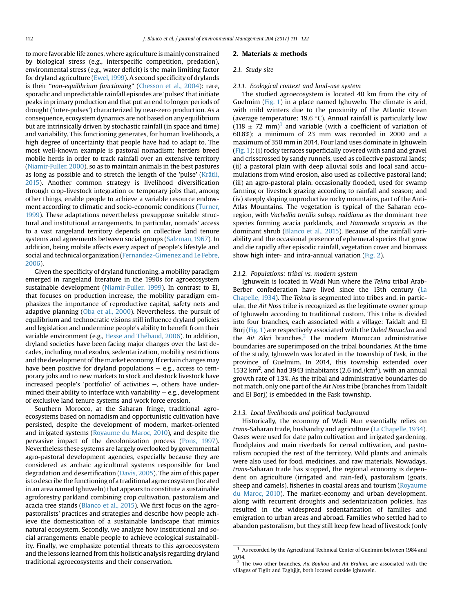to more favorable life zones, where agriculture is mainly constrained by biological stress (e.g., interspecific competition, predation), environmental stress (e.g., water deficit) is the main limiting factor for dryland agriculture (Ewel, 1999). A second specificity of drylands is their "non-equilibrium functioning" (Chesson et al., 2004): rare, sporadic and unpredictable rainfall episodes are 'pulses' that initiate peaks in primary production and that put an end to longer periods of drought ('inter-pulses') characterized by near-zero production. As a consequence, ecosystem dynamics are not based on any equilibrium but are intrinsically driven by stochastic rainfall (in space and time) and variability. This functioning generates, for human livelihoods, a high degree of uncertainty that people have had to adapt to. The most well-known example is pastoral nomadism: herders breed mobile herds in order to track rainfall over an extensive territory (Niamir-Fuller, 2000), so as to maintain animals in the best pastures as long as possible and to stretch the length of the 'pulse' (Krätli, 2015). Another common strategy is livelihood diversification through crop-livestock integration or temporary jobs that, among other things, enable people to achieve a variable resource endowment according to climatic and socio-economic conditions (Turner, 1999). These adaptations nevertheless presuppose suitable structural and institutional arrangements. In particular, nomads' access to a vast rangeland territory depends on collective land tenure systems and agreements between social groups (Salzman, 1967). In addition, being mobile affects every aspect of people's lifestyle and social and technical organization (Fernandez-Gimenez and Le Febre, 2006).

Given the specificity of dryland functioning, a mobility paradigm emerged in rangeland literature in the 1990s for agroecosystem sustainable development (Niamir-Fuller, 1999). In contrast to EI, that focuses on production increase, the mobility paradigm emphasizes the importance of reproductive capital, safety nets and adaptive planning (Oba et al., 2000). Nevertheless, the pursuit of equilibrium and technocratic visions still influence dryland policies and legislation and undermine people's ability to benefit from their variable environment (e.g., Hesse and Thébaud, 2006). In addition, dryland societies have been facing major changes over the last decades, including rural exodus, sedentarization, mobility restrictions and the development of the market economy. If certain changes may have been positive for dryland populations  $-$  e.g., access to temporary jobs and to new markets to stock and destock livestock have increased people's 'portfolio' of activities  $-$ , others have undermined their ability to interface with variability  $-$  e.g., development of exclusive land tenure systems and work force erosion.

Southern Morocco, at the Saharan fringe, traditional agroecosystems based on nomadism and opportunistic cultivation have persisted, despite the development of modern, market-oriented and irrigated systems (Royaume du Maroc, 2010), and despite the pervasive impact of the decolonization process (Pons, 1997). Nevertheless these systems are largely overlooked by governmental agro-pastoral development agencies, especially because they are considered as archaic agricultural systems responsible for land degradation and desertification (Davis, 2005). The aim of this paper is to describe the functioning of a traditional agroecosystem (located in an area named Ighuweln) that appears to constitute a sustainable agroforestry parkland combining crop cultivation, pastoralism and acacia tree stands (Blanco et al., 2015). We first focus on the agropastoralists' practices and strategies and describe how people achieve the domestication of a sustainable landscape that mimics natural ecosystem. Secondly, we analyze how institutional and social arrangements enable people to achieve ecological sustainability. Finally, we emphasize potential threats to this agroecosystem and the lessons learned from this holistic analysis regarding dryland traditional agroecosystems and their conservation.

#### 2. Materials & methods

#### 2.1. Study site

#### 2.1.1. Ecological context and land-use system

The studied agroecosystem is located 40 km from the city of Guelmim (Fig. 1) in a place named Ighuweln. The climate is arid, with mild winters due to the proximity of the Atlantic Ocean (average temperature: 19.6 °C). Annual rainfall is particularly low  $(118 \pm 72 \text{ mm})^1$  and variable (with a coefficient of variation of 60.8%): a minimum of 23 mm was recorded in 2000 and a maximum of 350 mm in 2014. Four land uses dominate in Ighuweln (Fig. 1): (i) rocky terraces superficially covered with sand and gravel and crisscrossed by sandy runnels, used as collective pastoral lands; (ii) a pastoral plain with deep alluvial soils and local sand accumulations from wind erosion, also used as collective pastoral land; (iii) an agro-pastoral plain, occasionally flooded, used for swamp farming or livestock grazing according to rainfall and season; and (iv) steeply sloping unproductive rocky mountains, part of the Anti-Atlas Mountains. The vegetation is typical of the Saharan ecoregion, with Vachellia tortilis subsp. raddiana as the dominant tree species forming acacia parklands, and Hammada scoparia as the dominant shrub (Blanco et al., 2015). Because of the rainfall variability and the occasional presence of ephemeral species that grow and die rapidly after episodic rainfall, vegetation cover and biomass show high inter- and intra-annual variation (Fig. 2).

#### 2.1.2. Populations: tribal vs. modern system

Ighuweln is located in Wadi Nun where the Tekna tribal Arab-Berber confederation have lived since the 13th century (La Chapelle, 1934). The Tekna is segmented into tribes and, in particular, the Ait Noss tribe is recognized as the legitimate owner group of Ighuweln according to traditional custom. This tribe is divided into four branches, each associated with a village: Taidalt and El Borj (Fig. 1) are respectively associated with the Ouled Bouachra and the Ait Zikri branches.<sup>2</sup> The modern Moroccan administrative boundaries are superimposed on the tribal boundaries. At the time of the study, Ighuweln was located in the township of Fask, in the province of Guelmim. In 2014, this township extended over 1532 km<sup>2</sup>, and had 3943 inhabitants (2.6 ind./km<sup>2</sup>), with an annual growth rate of 1.3%. As the tribal and administrative boundaries do not match, only one part of the Ait Noss tribe (branches from Taidalt and El Borj) is embedded in the Fask township.

#### 2.1.3. Local livelihoods and political background

Historically, the economy of Wadi Nun essentially relies on trans-Saharan trade, husbandry and agriculture (La Chapelle, 1934). Oases were used for date palm cultivation and irrigated gardening, floodplains and main riverbeds for cereal cultivation, and pastoralism occupied the rest of the territory. Wild plants and animals were also used for food, medicines, and raw materials. Nowadays, trans-Saharan trade has stopped, the regional economy is dependent on agriculture (irrigated and rain-fed), pastoralism (goats, sheep and camels), fisheries in coastal areas and tourism (Royaume du Maroc, 2010). The market-economy and urban development, along with recurrent droughts and sedentarization policies, has resulted in the widespread sedentarization of families and emigration to urban areas and abroad. Families who settled had to abandon pastoralism, but they still keep few head of livestock (only

 $1$  As recorded by the Agricultural Technical Center of Guelmim between 1984 and 2014.

 $2$  The two other branches, Ait Bouhou and Ait Brahim, are associated with the villages of Tiglit and Taghjijt, both located outside Ighuweln.